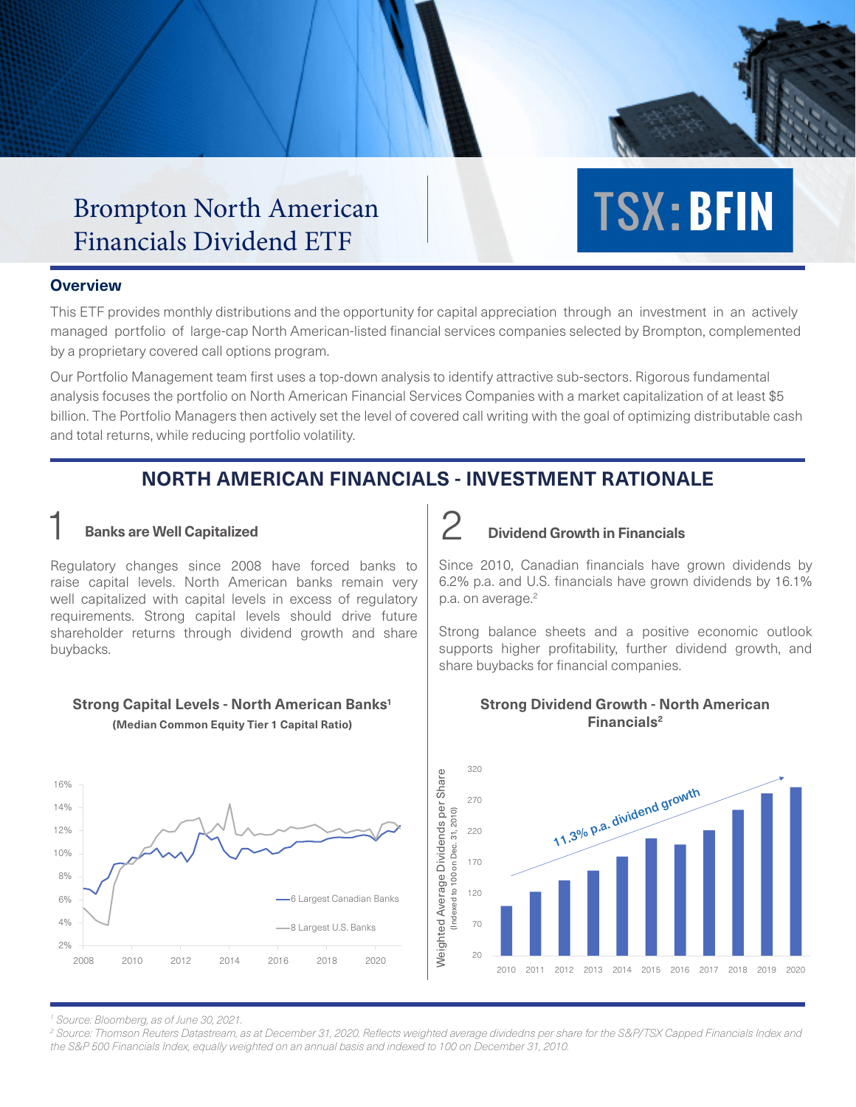## Brompton North American Brompton North American<br>Financials Dividend ETF Financials Dividend ETF

#### **Overview**

This ETF provides monthly distributions and the opportunity for capital appreciation through an investment in an actively managed portfolio of large-cap North American-listed financial services companies selected by Brompton, complemented by a proprietary covered call options program.

Our Portfolio Management team first uses a top-down analysis to identify attractive sub-sectors. Rigorous fundamental analysis focuses the portfolio on North American Financial Services Companies with a market capitalization of at least \$5 billion. The Portfolio Managers then actively set the level of covered call writing with the goal of optimizing distributable cash and total returns, while reducing portfolio volatility.

# **NORTH AMERICAN FINANCIALS - INVESTMENT RATIONALE**

Regulatory changes since 2008 have forced banks to raise capital levels. North American banks remain very well capitalized with capital levels in excess of regulatory requirements. Strong capital levels should drive future shareholder returns through dividend growth and share buybacks.

# **Strong Capital Levels - North American Banks1**

**(Median Common Equity Tier 1 Capital Ratio)**



### 1 **Banks are Well Capitalized** 2 **Dividend Growth in Financials**

Since 2010, Canadian financials have grown dividends by 6.2% p.a. and U.S. financials have grown dividends by 16.1% p.a. on average.<sup>2</sup>

**TSX: BFIN** 

Strong balance sheets and a positive economic outlook supports higher profitability, further dividend growth, and share buybacks for financial companies.



#### **Strong Dividend Growth - North American Financials2**

*1 Source: Bloomberg, as of June 30, 2021.*

*2 Source: Thomson Reuters Datastream, as at December 31, 2020. Reflects weighted average dividedns per share for the S&P/TSX Capped Financials Index and the S&P 500 Financials Index, equally weighted on an annual basis and indexed to 100 on December 31, 2010.*